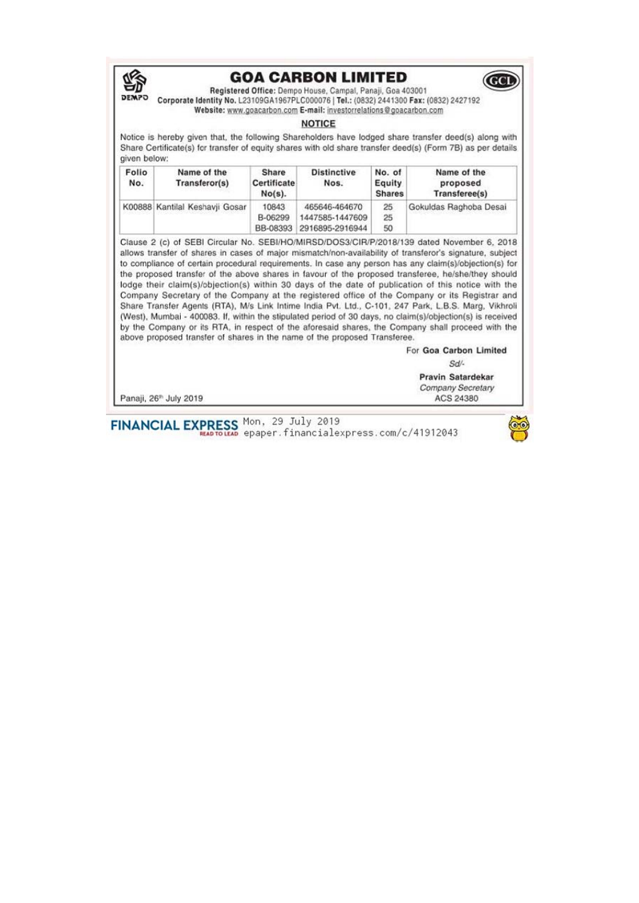

## **GOA CARBON LIMITED**



Registered Office: Dempo House, Campal, Panaii, Goa 403001 Corporate Identity No. L23109GA1967PLC000076 | Tel.: (0832) 2441300 Fax: (0832) 2427192 Website: www.goacarbon.com E-mail: investorrelations@goacarbon.com

## **NOTICE**

Notice is hereby given that, the following Shareholders have lodged share transfer deed(s) along with Share Certificate(s) for transfer of equity shares with old share transfer deed(s) (Form 7B) as per details given below:

| Folio<br>No. | Name of the<br>Transferor(s)   | Share<br>Certificate<br>$No(s)$ . | <b>Distinctive</b><br>Nos.                                   | No. of<br>Equity<br><b>Shares</b> | Name of the<br>proposed<br>Transferee(s) |
|--------------|--------------------------------|-----------------------------------|--------------------------------------------------------------|-----------------------------------|------------------------------------------|
|              | K00888 Kantilal Keshavji Gosar | 10843<br>B-06299                  | 465646-464670<br>1447585-1447609<br>BB-08393 2916895-2916944 | 25<br>25<br>50                    | Gokuldas Raghoba Desai                   |

Clause 2 (c) of SEBI Circular No. SEBI/HO/MIRSD/DOS3/CIR/P/2018/139 dated November 6, 2018 allows transfer of shares in cases of major mismatch/non-availability of transferor's signature, subject to compliance of certain procedural requirements. In case any person has any claim(s)/objection(s) for the proposed transfer of the above shares in favour of the proposed transferee, he/she/they should lodge their claim(s)/objection(s) within 30 days of the date of publication of this notice with the Company Secretary of the Company at the registered office of the Company or its Registrar and Share Transfer Agents (RTA), M/s Link Intime India Pvt. Ltd., C-101, 247 Park, L.B.S. Marg, Vikhroli (West), Mumbai - 400083. If, within the stipulated period of 30 days, no claim(s)/objection(s) is received by the Company or its RTA, in respect of the aforesaid shares, the Company shall proceed with the above proposed transfer of shares in the name of the proposed Transferee.

For Goa Carbon Limited

Sd/-

Pravin Satardekar Company Secretary ACS 24380

Panaji, 26<sup>th</sup> July 2019

FINANCIAL EXPRESS Mon, 29 July 2019<br>epaper.financialexpress.com/c/41912043